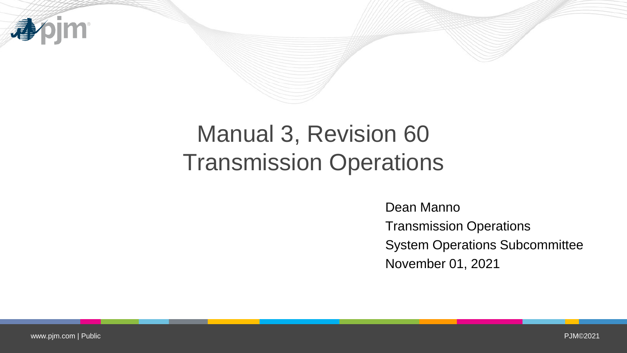

# Manual 3, Revision 60 Transmission Operations

Dean Manno Transmission Operations System Operations Subcommittee November 01, 2021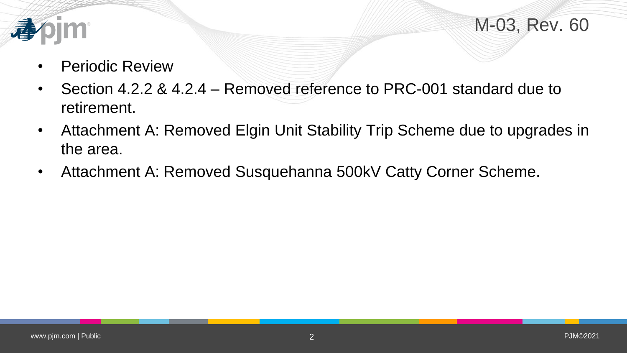



- Periodic Review
- Section 4.2.2 & 4.2.4 Removed reference to PRC-001 standard due to retirement.
- Attachment A: Removed Elgin Unit Stability Trip Scheme due to upgrades in the area.
- Attachment A: Removed Susquehanna 500kV Catty Corner Scheme.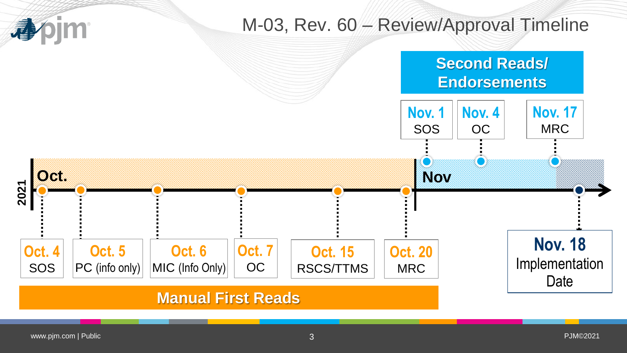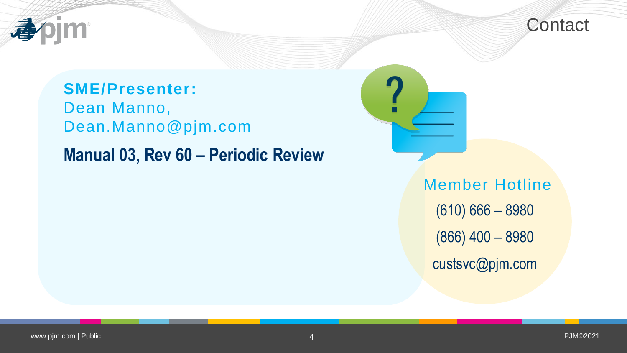



### **SME/Presenter:**

Dean Manno, Dean.Manno@pjm.com

## **Manual 03, Rev 60 – Periodic Review**

Member Hotline (610) 666 – 8980 (866) 400 – 8980 custsvc@pjm.com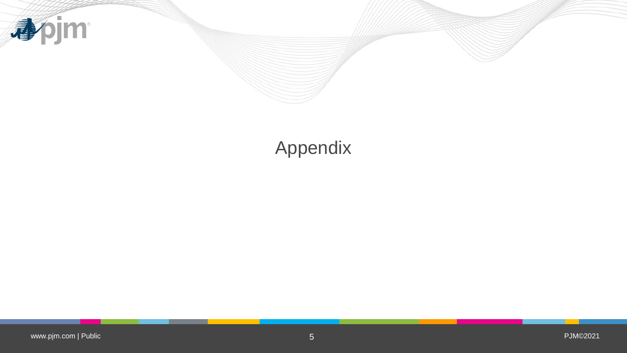

## Appendix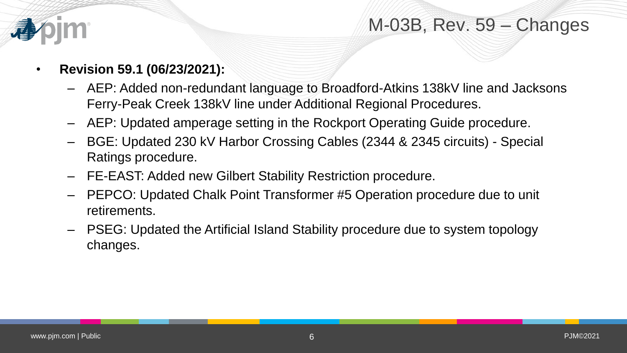

#### M-03B, Rev. 59 – Changes

- **Revision 59.1 (06/23/2021):**
	- AEP: Added non-redundant language to Broadford-Atkins 138kV line and Jacksons Ferry-Peak Creek 138kV line under Additional Regional Procedures.
	- AEP: Updated amperage setting in the Rockport Operating Guide procedure.
	- BGE: Updated 230 kV Harbor Crossing Cables (2344 & 2345 circuits) Special Ratings procedure.
	- FE-EAST: Added new Gilbert Stability Restriction procedure.
	- PEPCO: Updated Chalk Point Transformer #5 Operation procedure due to unit retirements.
	- PSEG: Updated the Artificial Island Stability procedure due to system topology changes.